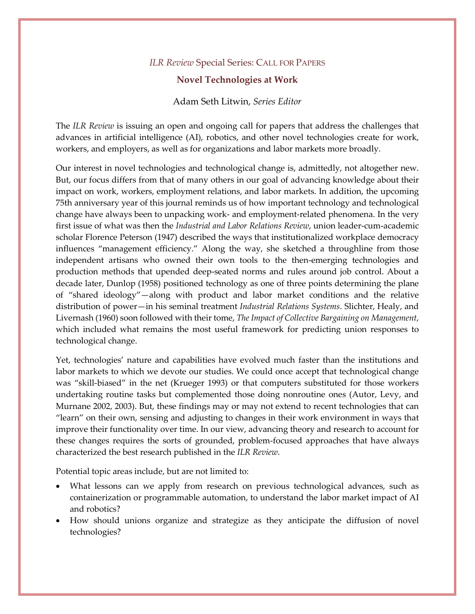## *ILR Review* Special Series: CALL FOR PAPERS

## **Novel Technologies at Work**

## Adam Seth Litwin, *Series Editor*

The *ILR Review* is issuing an open and ongoing call for papers that address the challenges that advances in artificial intelligence (AI), robotics, and other novel technologies create for work, workers, and employers, as well as for organizations and labor markets more broadly.

Our interest in novel technologies and technological change is, admittedly, not altogether new. But, our focus differs from that of many others in our goal of advancing knowledge about their impact on work, workers, employment relations, and labor markets. In addition, the upcoming 75th anniversary year of this journal reminds us of how important technology and technological change have always been to unpacking work- and employment-related phenomena. In the very first issue of what was then the *Industrial and Labor Relations Review*, union leader-cum-academic scholar Florence Peterson (1947) described the ways that institutionalized workplace democracy influences "management efficiency." Along the way, she sketched a throughline from those independent artisans who owned their own tools to the then-emerging technologies and production methods that upended deep-seated norms and rules around job control. About a decade later, Dunlop (1958) positioned technology as one of three points determining the plane of "shared ideology"—along with product and labor market conditions and the relative distribution of power—in his seminal treatment *Industrial Relations Systems*. Slichter, Healy, and Livernash (1960) soon followed with their tome, *The Impact of Collective Bargaining on Management*, which included what remains the most useful framework for predicting union responses to technological change.

Yet, technologies' nature and capabilities have evolved much faster than the institutions and labor markets to which we devote our studies. We could once accept that technological change was "skill-biased" in the net (Krueger 1993) or that computers substituted for those workers undertaking routine tasks but complemented those doing nonroutine ones (Autor, Levy, and Murnane 2002, 2003). But, these findings may or may not extend to recent technologies that can "learn" on their own, sensing and adjusting to changes in their work environment in ways that improve their functionality over time. In our view, advancing theory and research to account for these changes requires the sorts of grounded, problem-focused approaches that have always characterized the best research published in the *ILR Review*.

Potential topic areas include, but are not limited to:

- What lessons can we apply from research on previous technological advances, such as containerization or programmable automation, to understand the labor market impact of AI and robotics?
- How should unions organize and strategize as they anticipate the diffusion of novel technologies?